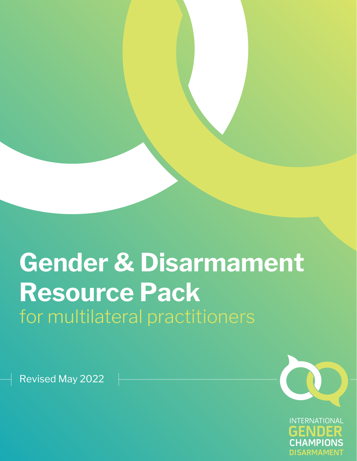# **Gender & Disarmament Resource Pack**  for multilateral practitioners

Revised May 2022



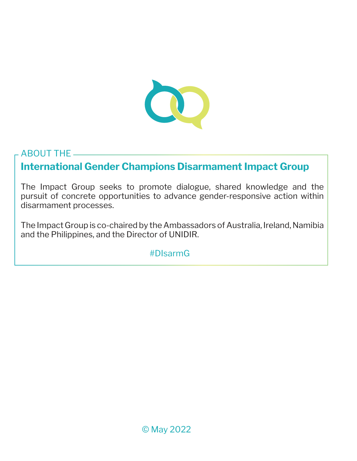

## **International Gender Champions Disarmament Impact Group**  ABOUT THE

The Impact Group seeks to promote dialogue, shared knowledge and the pursuit of concrete opportunities to advance gender-responsive action within disarmament processes.

The Impact Group is co-chaired by the Ambassadors of Australia, Ireland, Namibia and the Philippines, and the Director of UNIDIR.

#DIsarmG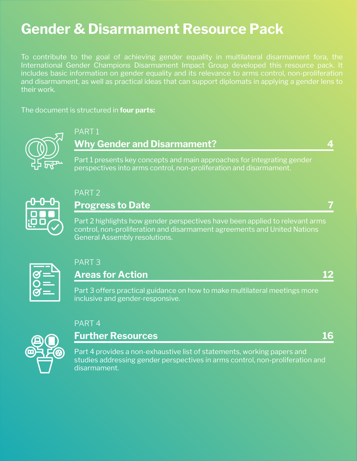## **Gender & Disarmament Resource Pack**

To contribute to the goal of achieving gender equality in multilateral disarmament fora, the International Gender Champions Disarmament Impact Group developed this resource pack. It includes basic information on gender equality and its relevance to arms control, non-proliferation and disarmament, as well as practical ideas that can support diplomats in applying a gender lens to their work.

The document is structured in **four parts:** 



## PART 1 **Why Gender and Disarmament? 4**

Part 1 presents key concepts and main approaches for integrating gender perspectives into arms control, non-proliferation and disarmament.



## PART 2

### **Progress to Date 7**

Part 2 highlights how gender perspectives have been applied to relevant arms control, non-proliferation and disarmament agreements and United Nations General Assembly resolutions.



## PART 3

**Areas for Action 12** and 12

Part 3 offers practical guidance on how to make multilateral meetings more inclusive and gender-responsive.

**Further Resources 16** 

#### PART 4



Part 4 provides a non-exhaustive list of statements, working papers and studies addressing gender perspectives in arms control, non-proliferation and disarmament.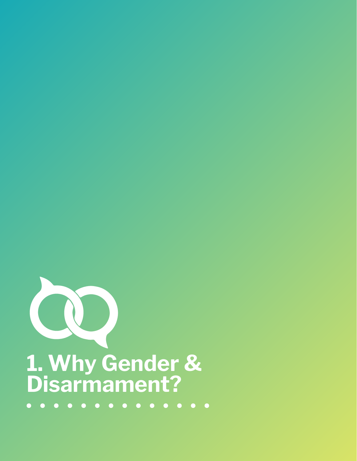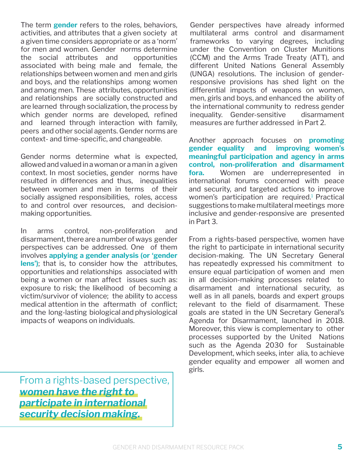The term **gender** refers to the roles, behaviors, activities, and attributes that a given society at a given time considers appropriate or as a 'norm' for men and women. Gender norms determine the social attributes and opportunities associated with being male and female, the relationships between women and men and girls and boys, and the relationships among women and among men. These attributes, opportunities and relationships are socially constructed and are learned through socialization, the process by which gender norms are developed, refined and learned through interaction with family, peers and other social agents. Gender norms are context- and time-specific, and changeable.

Gender norms determine what is expected, allowed and valued in a woman or a man in a given context. In most societies, gender norms have resulted in differences and thus, inequalities between women and men in terms of their socially assigned responsibilities, roles, access to and control over resources, and decisionmaking opportunities.

In arms control, non-proliferation and disarmament, there are a number of ways gender perspectives can be addressed. One of them involves **applying a gender analysis (or 'gender lens')**; that is, to consider how the attributes, opportunities and relationships associated with being a women or man affect issues such as: exposure to risk; the likelihood of becoming a victim/survivor of violence; the ability to access medical attention in the aftermath of conflict; and the long-lasting biological and physiological impacts of weapons on individuals.

From a rights-based perspective, *women have the right to participate in international security decision making.*

Gender perspectives have already informed multilateral arms control and disarmament frameworks to varying degrees, including under the Convention on Cluster Munitions (CCM) and the Arms Trade Treaty (ATT), and different United Nations General Assembly (UNGA) resolutions. The inclusion of genderresponsive provisions has shed light on the differential impacts of weapons on women, men, girls and boys, and enhanced the ability of the international community to redress gender inequality. Gender-sensitive disarmament measures are further addressed in Part 2.

Another approach focuses on **promoting gender equality and improving women's meaningful participation and agency in arms control, non-proliferation and disarmament fora.** Women are underrepresented in international forums concerned with peace and security, and targeted actions to improve women's participation are required.<sup>1</sup> Practical suggestions to make multilateral meetings more inclusive and gender-responsive are presented in Part 3.

From a rights-based perspective, women have the right to participate in international security decision-making. The UN Secretary General has repeatedly expressed his commitment to ensure equal participation of women and men in all decision-making processes related to disarmament and international security, as well as in all panels, boards and expert groups relevant to the field of disarmament. These goals are stated in the UN Secretary General's Agenda for Disarmament, launched in 2018. Moreover, this view is complementary to other processes supported by the United Nations such as the Agenda 2030 for Sustainable Development, which seeks, inter alia, to achieve gender equality and empower all women and girls.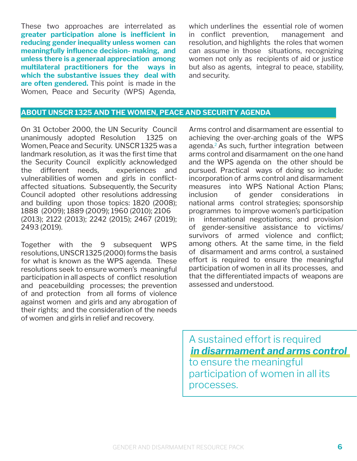These two approaches are interrelated as **greater participation alone is inefficient in reducing gender inequality unless women can meaningfully influence decision- making, and unless there is a generaal appreciation among multilateral practitioners for the ways in which the substantive issues they deal with are often gendered.** This point is made in the Women, Peace and Security (WPS) Agenda, which underlines the essential role of women in conflict prevention, management and resolution, and highlights the roles that women can assume in those situations, recognizing women not only as recipients of aid or justice but also as agents, integral to peace, stability, and security.

#### **ABOUT UNSCR 1325 AND THE WOMEN, PEACE AND SECURITY AGENDA**

On 31 October 2000, the UN Security Council unanimously adopted Resolution 1325 on Women, Peace and Security. UNSCR 1325 was a landmark resolution, as it was the first time that the Security Council explicitly acknowledged the different needs, experiences and vulnerabilities of women and girls in conflictaffected situations. Subsequently, the Security Council adopted other resolutions addressing and building upon those topics: 1820 (2008); 1888 (2009); 1889 (2009); 1960 (2010); 2106 (2013); 2122 (2013); 2242 (2015); 2467 (2019); 2493 (2019).

Together with the 9 subsequent WPS resolutions, UNSCR 1325 (2000) forms the basis for what is known as the WPS agenda. These resolutions seek to ensure women's meaningful participation in all aspects of conflict resolution and peacebuilding processes; the prevention of and protection from all forms of violence against women and girls and any abrogation of their rights; and the consideration of the needs of women and girls in relief and recovery.

Arms control and disarmament are essential to achieving the over-arching goals of the WPS agenda.2 As such, further integration between arms control and disarmament on the one hand and the WPS agenda on the other should be pursued. Practical ways of doing so include: incorporation of arms control and disarmament measures into WPS National Action Plans; inclusion of gender considerations in national arms control strategies; sponsorship programmes to improve women's participation in international negotiations; and provision of gender-sensitive assistance to victims/ survivors of armed violence and conflict; among others. At the same time, in the field of disarmament and arms control, a sustained effort is required to ensure the meaningful participation of women in all its processes, and that the differentiated impacts of weapons are assessed and understood.

A sustained effort is required  *in disarmament and arms control*  to ensure the meaningful participation of women in all its processes.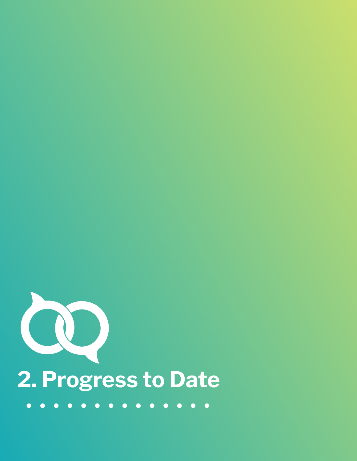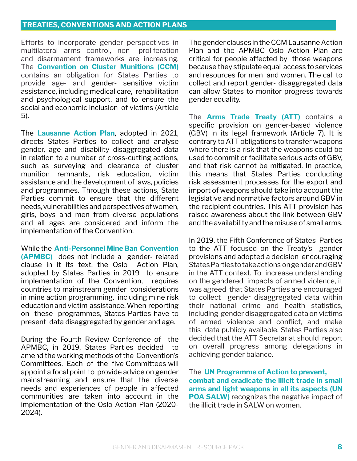#### **TREATIES, CONVENTIONS AND ACTION PLANS**

Efforts to incorporate gender perspectives in multilateral arms control, non- proliferation and disarmament frameworks are increasing. The **Convention on Cluster Munitions (CCM)**  contains an obligation for States Parties to provide age- and gender- sensitive victim assistance, including medical care, rehabilitation and psychological support, and to ensure the social and economic inclusion of victims (Article 5).

The **Lausanne Action Plan**, adopted in 2021, directs States Parties to collect and analyse gender, age and disability disaggregated data in relation to a number of cross-cutting actions, such as surveying and clearance of cluster munition remnants, risk education, victim assistance and the development of laws, policies and programmes. Through these actions, State Parties commit to ensure that the different needs, vulnerabilities and perspectives of women, girls, boys and men from diverse populations and all ages are considered and inform the implementation of the Convention.

While the **Anti-Personnel Mine Ban Convention (APMBC)** does not include a gender- related clause in it its text, the Oslo Action Plan, adopted by States Parties in 2019 to ensure implementation of the Convention, requires countries to mainstream gender considerations in mine action programming, including mine risk education and victim assistance. When reporting on these programmes, States Parties have to present data disaggregated by gender and age.

During the Fourth Review Conference of the APMBC, in 2019, States Parties decided to amend the working methods of the Convention's Committees. Each of the five Committees will appoint a focal point to provide advice on gender mainstreaming and ensure that the diverse needs and experiences of people in affected communities are taken into account in the implementation of the Oslo Action Plan (2020- 2024).

The gender clauses in the CCM Lausanne Action Plan and the APMBC Oslo Action Plan are critical for people affected by those weapons because they stipulate equal access to services and resources for men and women. The call to collect and report gender- disaggregated data can allow States to monitor progress towards gender equality.

The **Arms Trade Treaty (ATT)** contains a specific provision on gender-based violence (GBV) in its legal framework (Article 7). It is contrary to ATT obligations to transfer weapons where there is a risk that the weapons could be used to commit or facilitate serious acts of GBV, and that risk cannot be mitigated. In practice, this means that States Parties conducting risk assessment processes for the export and import of weapons should take into account the legislative and normative factors around GBV in the recipient countries. This ATT provision has raised awareness about the link between GBV and the availability and the misuse of small arms.

In 2019, the Fifth Conference of States Parties to the ATT focused on the Treaty's gender provisions and adopted a decision encouraging States Parties to take actions on gender and GBV in the ATT context. To increase understanding on the gendered impacts of armed violence, it was agreed that States Parties are encouraged to collect gender disaggregated data within their national crime and health statistics, including gender disaggregated data on victims of armed violence and conflict, and make this data publicly available. States Parties also decided that the ATT Secretariat should report on overall progress among delegations in achieving gender balance.

The **UN Programme of Action to prevent, combat and eradicate the illicit trade in small arms and light weapons in all its aspects (UN POA SALW)** recognizes the negative impact of the illicit trade in SALW on women.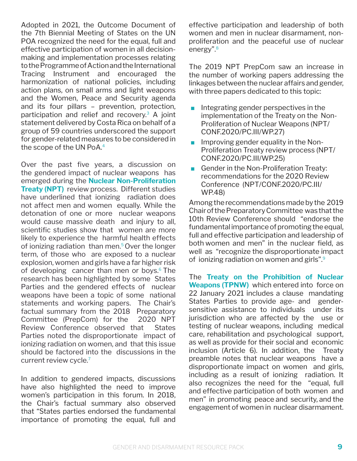Adopted in 2021, the Outcome Document of the 7th Biennial Meeting of States on the UN POA recognized the need for the equal, full and effective participation of women in all decisionmaking and implementation processes relating to the Programme of Action and the International Tracing Instrument and encouraged the harmonization of national policies, including action plans, on small arms and light weapons and the Women, Peace and Security agenda and its four pillars – prevention, protection, participation and relief and recovery.<sup>3</sup> A joint statement delivered by Costa Rica on behalf of a group of 59 countries underscored the support for gender-related measures to be considered in the scope of the UN PoA.<sup>4</sup>

Over the past five years, a discussion on the gendered impact of nuclear weapons has emerged during the **Nuclear Non-Proliferation Treaty (NPT)** review process. Different studies have underlined that ionizing radiation does not affect men and women equally. While the detonation of one or more nuclear weapons would cause massive death and injury to all, scientific studies show that women are more likely to experience the harmful health effects of ionizing radiation than men.5 Over the longer term, of those who are exposed to a nuclear explosion, women and girls have a far higher risk of developing cancer than men or boys.<sup>6</sup> The research has been highlighted by some States Parties and the gendered effects of nuclear weapons have been a topic of some national statements and working papers. The Chair's factual summary from the 2018 Preparatory Committee (PrepCom) for the 2020 NPT Review Conference observed that States Parties noted the disproportionate impact of ionizing radiation on women, and that this issue should be factored into the discussions in the current review cycle.7

In addition to gendered impacts, discussions have also highlighted the need to improve women's participation in this forum. In 2018, the Chair's factual summary also observed that "States parties endorsed the fundamental importance of promoting the equal, full and effective participation and leadership of both women and men in nuclear disarmament, nonproliferation and the peaceful use of nuclear energy".8

The 2019 NPT PrepCom saw an increase in the number of working papers addressing the linkages between the nuclear affairs and gender, with three papers dedicated to this topic:

- Integrating gender perspectives in the implementation of the Treaty on the Non-Proliferation of Nuclear Weapons (NPT/ CONF.2020/PC.III/WP.27)
- Improving gender equality in the Non-Proliferation Treaty review process (NPT/ CONF.2020/PC.III/WP.25)
- Gender in the Non-Proliferation Treaty: recommendations for the 2020 Review Conference (NPT/CONF.2020/PC.III/ WP.48)

Among the recommendations made by the 2019 Chair of the Preparatory Committee was that the 10th Review Conference should "endorse the fundamental importance of promoting the equal, full and effective participation and leadership of both women and men" in the nuclear field, as well as "recognize the disproportionate impact of ionizing radiation on women and girls".<sup>9</sup>

The **Treaty on the Prohibition of Nuclear Weapons (TPNW)** which entered into force on 22 January 2021 includes a clause mandating States Parties to provide age- and gendersensitive assistance to individuals under its jurisdiction who are affected by the use or testing of nuclear weapons, including medical care, rehabilitation and psychological support, as well as provide for their social and economic inclusion (Article 6). In addition, the Treaty preamble notes that nuclear weapons have a disproportionate impact on women and girls, including as a result of ionizing radiation. It also recognizes the need for the "equal, full and effective participation of both women and men" in promoting peace and security, and the engagement of women in nuclear disarmament.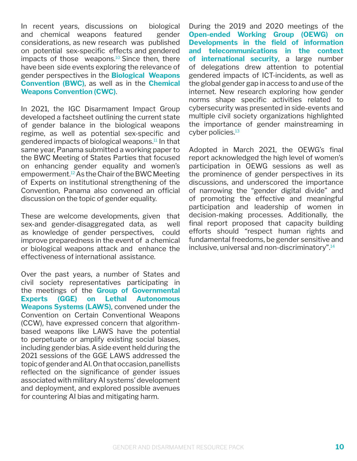In recent years, discussions on biological and chemical weapons featured gender considerations, as new research was published on potential sex-specific effects and gendered impacts of those weapons.<sup>10</sup> Since then, there have been side events exploring the relevance of gender perspectives in the **Biological Weapons Convention (BWC)**, as well as in the **Chemical Weapons Convention (CWC)**.

In 2021, the IGC Disarmament Impact Group developed a factsheet outlining the current state of gender balance in the biological weapons regime, as well as potential sex-specific and gendered impacts of biological weapons.11 In that same year, Panama submitted a working paper to the BWC Meeting of States Parties that focused on enhancing gender equality and women's empowerment.12 As the Chair of the BWC Meeting of Experts on institutional strengthening of the Convention, Panama also convened an official discussion on the topic of gender equality.

These are welcome developments, given that sex-and gender-disaggregated data, as well as knowledge of gender perspectives, could improve preparedness in the event of a chemical or biological weapons attack and enhance the effectiveness of international assistance.

Over the past years, a number of States and civil society representatives participating in the meetings of the **Group of Governmental Experts (GGE) on Lethal Autonomous Weapons Systems (LAWS)**, convened under the Convention on Certain Conventional Weapons (CCW), have expressed concern that algorithmbased weapons like LAWS have the potential to perpetuate or amplify existing social biases, including gender bias. A side event held during the 2021 sessions of the GGE LAWS addressed the topic of gender and AI. On that occasion, panellists reflected on the significance of gender issues associated with military AI systems' development and deployment, and explored possible avenues for countering AI bias and mitigating harm.

During the 2019 and 2020 meetings of the **Open-ended Working Group (OEWG) on Developments in the field of information and telecommunications in the context of international security**, a large number of delegations drew attention to potential gendered impacts of ICT-incidents, as well as the global gender gap in access to and use of the internet. New research exploring how gender norms shape specific activities related to cybersecurity was presented in side-events and multiple civil society organizations highlighted the importance of gender mainstreaming in cyber policies.<sup>13</sup>

Adopted in March 2021, the OEWG's final report acknowledged the high level of women's participation in OEWG sessions as well as the prominence of gender perspectives in its discussions, and underscored the importance of narrowing the "gender digital divide" and of promoting the effective and meaningful participation and leadership of women in decision-making processes. Additionally, the final report proposed that capacity building efforts should "respect human rights and fundamental freedoms, be gender sensitive and inclusive, universal and non-discriminatory".14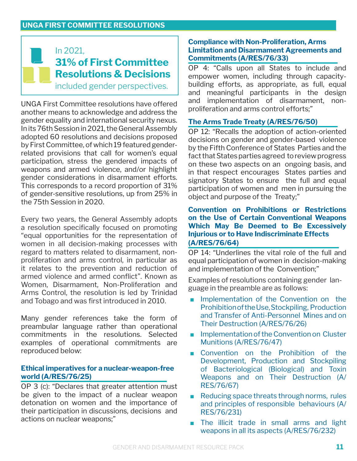## In 2021, **31% of First Committee Resolutions & Decisions**

included gender perspectives.

UNGA First Committee resolutions have offered another means to acknowledge and address the gender equality and international security nexus. In its 76th Session in 2021, the General Assembly adopted 60 resolutions and decisions proposed by First Committee, of which 19 featured genderrelated provisions that call for women's equal participation, stress the gendered impacts of weapons and armed violence, and/or highlight gender considerations in disarmament efforts. This corresponds to a record proportion of 31% of gender-sensitive resolutions, up from 25% in the 75th Session in 2020.

Every two years, the General Assembly adopts a resolution specifically focused on promoting "equal opportunities for the representation of women in all decision-making processes with regard to matters related to disarmament, nonproliferation and arms control, in particular as it relates to the prevention and reduction of armed violence and armed conflict". Known as Women, Disarmament, Non-Proliferation and Arms Control, the resolution is led by Trinidad and Tobago and was first introduced in 2010.

Many gender references take the form of preambular language rather than operational commitments in the resolutions. Selected examples of operational commitments are reproduced below:

#### **Ethical imperatives for a nuclear-weapon-free world (A/RES/76/25)**

OP 3 (c): "Declares that greater attention must be given to the impact of a nuclear weapon detonation on women and the importance of their participation in discussions, decisions and actions on nuclear weapons;"

#### **Compliance with Non-Proliferation, Arms Limitation and Disarmament Agreements and Commitments (A/RES/76/33)**

OP 4: "Calls upon all States to include and empower women, including through capacitybuilding efforts, as appropriate, as full, equal and meaningful participants in the design and implementation of disarmament, nonproliferation and arms control efforts;"

#### **The Arms Trade Treaty (A/RES/76/50)**

OP 12: "Recalls the adoption of action-oriented decisions on gender and gender-based violence by the Fifth Conference of States Parties and the fact that States parties agreed to review progress on these two aspects on an ongoing basis, and in that respect encourages States parties and signatory States to ensure the full and equal participation of women and men in pursuing the object and purpose of the Treaty;"

#### **Convention on Prohibitions or Restrictions on the Use of Certain Conventional Weapons Which May Be Deemed to Be Excessively Injurious or to Have Indiscriminate Effects (A/RES/76/64)**

OP 14: "Underlines the vital role of the full and equal participation of women in decision-making and implementation of the Convention;"

Examples of resolutions containing gender language in the preamble are as follows:

- Implementation of the Convention on the Prohibition of the Use, Stockpiling, Production and Transfer of Anti-Personnel Mines and on Their Destruction (A/RES/76/26)
- Implementation of the Convention on Cluster Munitions (A/RES/76/47)
- Convention on the Prohibition of the Development, Production and Stockpiling of Bacteriological (Biological) and Toxin Weapons and on Their Destruction (A/ RES/76/67)
- Reducing space threats through norms, rules and principles of responsible behaviours (A/ RES/76/231)
- The illicit trade in small arms and light weapons in all its aspects (A/RES/76/232)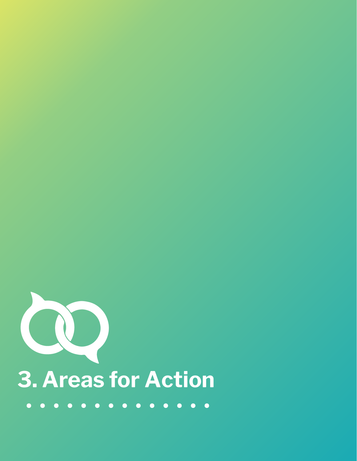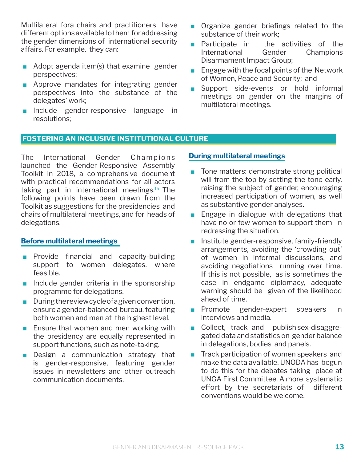Multilateral fora chairs and practitioners have different options available to them for addressing the gender dimensions of international security affairs. For example, they can:

- Adopt agenda item(s) that examine gender perspectives;
- Approve mandates for integrating gender perspectives into the substance of the delegates' work;
- Include gender-responsive language in resolutions;
- Organize gender briefings related to the substance of their work;
- Participate in the activities of the International Gender Champions Disarmament Impact Group;
- Engage with the focal points of the Network of Women, Peace and Security; and
- Support side-events or hold informal meetings on gender on the margins of multilateral meetings.

#### **FOSTERING AN INCLUSIVE INSTITUTIONAL CULTURE**

The International Gender Champions launched the Gender-Responsive Assembly Toolkit in 2018, a comprehensive document with practical recommendations for all actors taking part in international meetings.<sup>15</sup> The following points have been drawn from the Toolkit as suggestions for the presidencies and chairs of multilateral meetings, and for heads of delegations.

#### **Before multilateral meetings**

- Provide financial and capacity-building support to women delegates, where feasible.
- Include gender criteria in the sponsorship programme for delegations.
- During the review cycle of a given convention, ensure a gender-balanced bureau, featuring both women and men at the highest level.
- Ensure that women and men working with the presidency are equally represented in support functions, such as note-taking.
- Design a communication strategy that is gender-responsive, featuring gender issues in newsletters and other outreach communication documents.

#### **During multilateral meetings**

- Tone matters: demonstrate strong political will from the top by setting the tone early, raising the subject of gender, encouraging increased participation of women, as well as substantive gender analyses.
- Engage in dialogue with delegations that have no or few women to support them in redressing the situation.
- Institute gender-responsive, family-friendly arrangements, avoiding the 'crowding out' of women in informal discussions, and avoiding negotiations running over time. If this is not possible, as is sometimes the case in endgame diplomacy, adequate warning should be given of the likelihood ahead of time.
- Promote gender-expert speakers in interviews and media.
- Collect, track and publish sex-disaggregated data and statistics on gender balance in delegations, bodies and panels.
- Track participation of women speakers and make the data available. UNODA has begun to do this for the debates taking place at UNGA First Committee. A more systematic effort by the secretariats of different conventions would be welcome.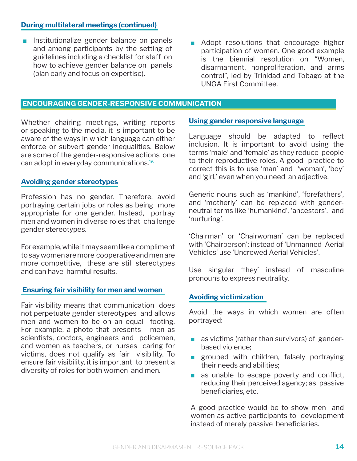#### **During multilateral meetings (continued)**

- Institutionalize gender balance on panels and among participants by the setting of guidelines including a checklist for staff on how to achieve gender balance on panels (plan early and focus on expertise).
- Adopt resolutions that encourage higher participation of women. One good example is the biennial resolution on "Women, disarmament, nonproliferation, and arms control", led by Trinidad and Tobago at the UNGA First Committee.

#### **ENCOURAGING GENDER-RESPONSIVE COMMUNICATION**

Whether chairing meetings, writing reports or speaking to the media, it is important to be aware of the ways in which language can either enforce or subvert gender inequalities. Below are some of the gender-responsive actions one can adopt in everyday communications.16

#### **Avoiding gender stereotypes**

Profession has no gender. Therefore, avoid portraying certain jobs or roles as being more appropriate for one gender. Instead, portray men and women in diverse roles that challenge gender stereotypes.

For example, while it may seem like a compliment to say women are more cooperative and men are more competitive, these are still stereotypes and can have harmful results.

#### **Ensuring fair visibility for men and women**

Fair visibility means that communication does not perpetuate gender stereotypes and allows men and women to be on an equal footing. For example, a photo that presents men as scientists, doctors, engineers and policemen, and women as teachers, or nurses caring for victims, does not qualify as fair visibility. To ensure fair visibility, it is important to present a diversity of roles for both women and men.

#### **Using gender responsive language**

Language should be adapted to reflect inclusion. It is important to avoid using the terms 'male' and 'female' as they reduce people to their reproductive roles. A good practice to correct this is to use 'man' and 'woman', 'boy' and 'girl,' even when you need an adjective.

Generic nouns such as 'mankind', 'forefathers', and 'motherly' can be replaced with genderneutral terms like 'humankind', 'ancestors', and 'nurturing'.

'Chairman' or 'Chairwoman' can be replaced with 'Chairperson'; instead of 'Unmanned Aerial Vehicles' use 'Uncrewed Aerial Vehicles'.

Use singular 'they' instead of masculine pronouns to express neutrality.

#### **Avoiding victimization**

Avoid the ways in which women are often portrayed:

- as victims (rather than survivors) of genderbased violence;
- grouped with children, falsely portraying their needs and abilities;
- as unable to escape poverty and conflict, reducing their perceived agency; as passive beneficiaries, etc.

A good practice would be to show men and women as active participants to development instead of merely passive beneficiaries.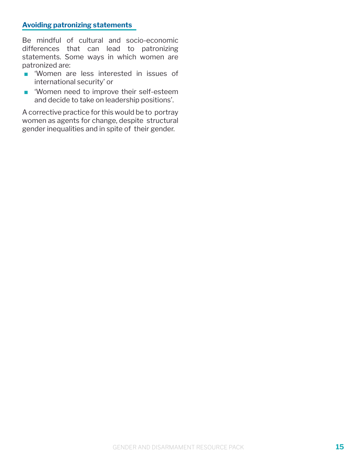#### **Avoiding patronizing statements**

Be mindful of cultural and socio-economic differences that can lead to patronizing statements. Some ways in which women are patronized are:

- 'Women are less interested in issues of international security' or
- 'Women need to improve their self-esteem and decide to take on leadership positions'.

A corrective practice for this would be to portray women as agents for change, despite structural gender inequalities and in spite of their gender.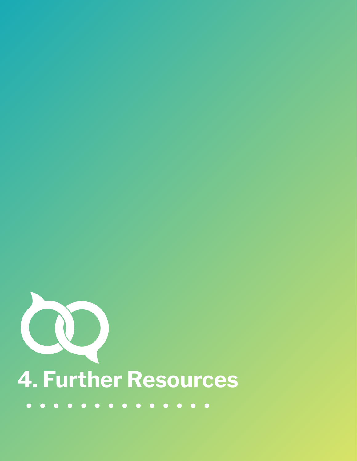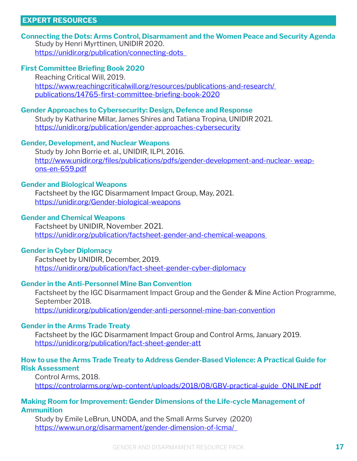#### **EXPERT RESOURCES**

#### **Connecting the Dots: Arms Control, Disarmament and the Women Peace and Security Agenda**  Study by Henri Myrttinen, UNIDIR 2020.

[https://unidir.org/publication/connecting-dots](https://unidir.org/publication/connecting-dots ) 

#### **First Committee Briefing Book 2020**

Reaching Critical Will, 2019. <https://www.reachingcriticalwill.org/resources/publications-and-research/> publications/14765-first-committee-briefing-book-2020

#### **Gender Approaches to Cybersecurity: Design, Defence and Response**

Study by Katharine Millar, James Shires and Tatiana Tropina, UNIDIR 2021. [https://unidir.org/publication/gender-approaches-cybersecurity](https://unidir.org/publication/gender-approaches-cybersecurity ) 

#### **Gender, Development, and Nuclear Weapons**

Study by John Borrie et. al., UNIDIR, ILPI, 2016. [http://www.unidir.org/files/publications/pdfs/gender-development-and-nuclear- w](http://www.unidir.org/files/publications/pdfs/gender-development-and-nuclear-)eapons-en-659.pdf

#### **Gender and Biological Weapons**

Factsheet by the IGC Disarmament Impact Group, May, 2021. <https://unidir.org/Gender-biological-weapons>

#### **Gender and Chemical Weapons**

Factsheet by UNIDIR, November, 2021. [https://unidir.org/publication/factsheet-gender-and-chemical-weapons](https://unidir.org/publication/factsheet-gender-and-chemical-weapons ) 

#### **Gender in Cyber Diplomacy**

Factsheet by UNIDIR, December, 2019. [https://unidir.org/publication/fact-sheet-gender-cyber-diplomacy](https://unidir.org/publication/fact-sheet-gender-cyber-diplomacy )

#### **Gender in the Anti-Personnel Mine Ban Convention**

Factsheet by the IGC Disarmament Impact Group and the Gender & Mine Action Programme, September 2018.

[https://unidir.org/publication/gender-anti-personnel-mine-ban-convention](https://unidir.org/publication/gender-anti-personnel-mine-ban-convention )

#### **Gender in the Arms Trade Treaty**

Factsheet by the IGC Disarmament Impact Group and Control Arms, January 2019. [https://unidir.org/publication/fact-sheet-gender-att](https://unidir.org/publication/fact-sheet-gender-att  )

#### **How to use the Arms Trade Treaty to Address Gender-Based Violence: A Practical Guide for Risk Assessment**

Control Arms, 2018.

https://controlarms.org/wp-content/uploads/2018/08/GBV-practical-guide\_ONLINE.pdf

#### **Making Room for Improvement: Gender Dimensions of the Life-cycle Management of Ammunition**

Study by Emile LeBrun, UNODA, and the Small Arms Survey (2020) <https://www.un.org/disarmament/gender-dimension-of-lcma/>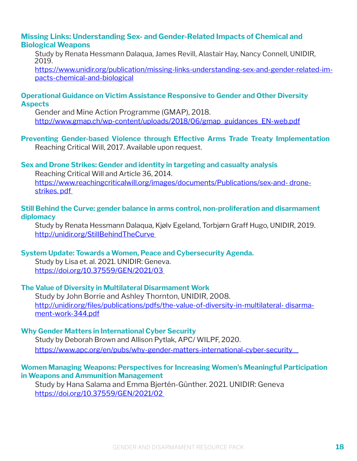#### **Missing Links: Understanding Sex- and Gender-Related Impacts of Chemical and Biological Weapons**

Study by Renata Hessmann Dalaqua, James Revill, Alastair Hay, Nancy Connell, UNIDIR, 2019.

[https://www.unidir.org/publication/missing-links-understanding-sex-and-gender-related-i](https://www.unidir.org/publication/missing-links-understanding-sex-and-gender-related-)mpacts-chemical-and-biological

#### **Operational Guidance on Victim Assistance Responsive to Gender and Other Diversity Aspects**

Gender and Mine Action Programme (GMAP), 2018. [http://www.gmap.ch/wp-content/uploads/2018/06/gmap\\_guidances\\_EN-web.pdf](http://www.gmap.ch/wp-content/uploads/2018/06/gmap_guidances_EN-web.pdf)

#### **Preventing Gender-based Violence through Effective Arms Trade Treaty Implementation**  Reaching Critical Will, 2017. Available upon request.

#### **Sex and Drone Strikes: Gender and identity in targeting and casualty analysis**

Reaching Critical Will and Article 36, 2014. [https://www.reachingcriticalwill.org/images/documents/Publications/sex-and- dr](https://www.reachingcriticalwill.org/images/documents/Publications/sex-and-)onestrikes. pdf

#### **Still Behind the Curve: gender balance in arms control, non-proliferation and disarmament diplomacy**

Study by Renata Hessmann Dalaqua, Kjølv Egeland, Torbjørn Graff Hugo, UNIDIR, 2019. <http://unidir.org/StillBehindTheCurve>

#### **System Update: Towards a Women, Peace and Cybersecurity Agenda.**

Study by Lisa et. al. 2021. UNIDIR: Geneva. [https://doi.org/10.37559/GEN/2021/03](https://doi.org/10.37559/GEN/2021/03 ) 

#### **The Value of Diversity in Multilateral Disarmament Work**

Study by John Borrie and Ashley Thornton, UNIDIR, 2008. [http://unidir.org/files/publications/pdfs/the-value-of-diversity-in-multilateral- disarma](http://unidir.org/files/publications/pdfs/the-value-of-diversity-in-multilateral- disarmament-)[ment-](http://unidir.org/files/publications/pdfs/the-value-of-diversity-in-multilateral- disarmament-)work-344.pdf

#### **Why Gender Matters in International Cyber Security**

Study by Deborah Brown and Allison Pytlak, APC/ WILPF, 2020. <https://www.apc.org/en/pubs/why-gender-matters-international-cyber-security>

#### **Women Managing Weapons: Perspectives for Increasing Women's Meaningful Participation in Weapons and Ammunition Management**

Study by Hana Salama and Emma Bjertén-Günther. 2021. UNIDIR: Geneva [https://doi.org/10.37559/GEN/2021/02](https://doi.org/10.37559/GEN/2021/02 )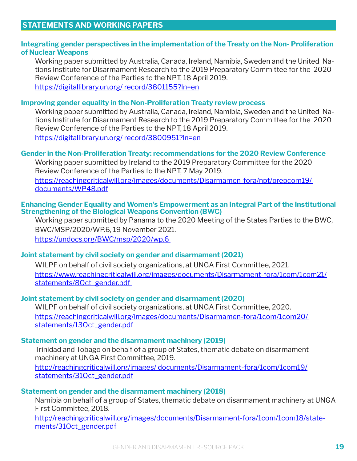#### **Integrating gender perspectives in the implementation of the Treaty on the Non- Proliferation of Nuclear Weapons**

Working paper submitted by Australia, Canada, Ireland, Namibia, Sweden and the United Nations Institute for Disarmament Research to the 2019 Preparatory Committee for the 2020 Review Conference of the Parties to the NPT, 18 April 2019. https://digitallibrary.un.org/ record/3801155?ln=en

#### **Improving gender equality in the Non-Proliferation Treaty review process**

Working paper submitted by Australia, Canada, Ireland, Namibia, Sweden and the United Nations Institute for Disarmament Research to the 2019 Preparatory Committee for the 2020 Review Conference of the Parties to the NPT, 18 April 2019. https://digitallibrary.un.org/ record/3800951?ln=en

#### **Gender in the Non-Proliferation Treaty: recommendations for the 2020 Review Conference**

Working paper submitted by Ireland to the 2019 Preparatory Committee for the 2020 Review Conference of the Parties to the NPT, 7 May 2019.

<https://reachingcriticalwill.org/images/documents/Disarmamen-fora/npt/prepcom19/> documents/WP48.pdf

#### **Enhancing Gender Equality and Women's Empowerment as an Integral Part of the Institutional Strengthening of the Biological Weapons Convention (BWC)**

Working paper submitted by Panama to the 2020 Meeting of the States Parties to the BWC, BWC/MSP/2020/WP.6, 19 November 2021. [https://undocs.org/BWC/msp/2020/wp.6](https://undocs.org/BWC/msp/2020/wp.6 ) 

#### **Joint statement by civil society on gender and disarmament (2021)**

WILPF on behalf of civil society organizations, at UNGA First Committee, 2021. [https://www.reachingcriticalwill.org/images/documents/Disarmament-fora/1com/1com21/](https://www.reachingcriticalwill.org/images/documents/Disarmament-fora/1com/1com21/statements/8Oct_gender.pdf  ) statements/80ct\_gender.pdf

#### **Joint statement by civil society on gender and disarmament (2020)**

WILPF on behalf of civil society organizations, at UNGA First Committee, 2020. <https://reachingcriticalwill.org/images/documents/Disarmamen-fora/1com/1com20/> statements/13Oct\_gender.pdf

#### **Statement on gender and the disarmament machinery (2019)**

Trinidad and Tobago on behalf of a group of States, thematic debate on disarmament machinery at UNGA First Committee, 2019.

http://reachingcriticalwill.org/images/ documents/Disarmament-fora/1com/1com19/ statements/31Oct\_gender.pdf

#### **Statement on gender and the disarmament machinery (2018)**

Namibia on behalf of a group of States, thematic debate on disarmament machinery at UNGA First Committee, 2018.

http://reachingcriticalwill.org/images/documents/Disarmament-fora/1com/1com18/statements/31Oct\_gender.pdf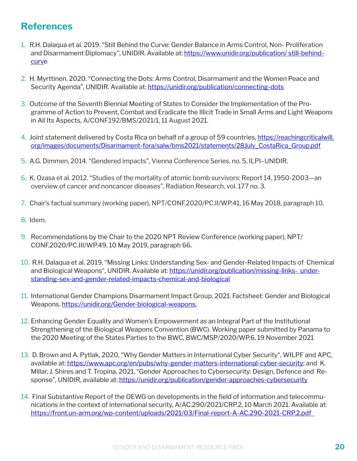## **References**

- 1. R.H. Dalaqua et al. 2019. "Still Behind the Curve: Gender Balance in Arms Control, Non- Proliferation and Disarmament Diplomacy", UNIDIR. Available at: https://www.unidir.org/publication/ still-behindcurve
- 2. H. Myrttinen. 2020. "Connecting the Dots: Arms Control, Disarmament and the Women Peace and Security Agenda", UNIDIR. Available at: [https://unidir.org/publication/connecting-dots](https://unidir.org/publication/connecting-dots )
- 3. Outcome of the Seventh Biennial Meeting of States to Consider the Implementation of the Programme of Action to Prevent, Combat and Eradicate the Illicit Trade in Small Arms and Light Weapons in All Its Aspects, A/CONF.192/BMS/2021/1, 11 August 2021.
- 4. Joint statement delivered by Costa Rica on behalf of a group of 59 countries, [https://reachingcriticalwill.](https://reachingcriticalwill.org/images/documents/Disarmament-fora/salw/bms2021/statements/28July_CostaRica_Group.pdf ) [org/images/documents/Disarmament-fora/salw/bms2021/statements/28July\\_CostaRica\\_Group.pdf](https://reachingcriticalwill.org/images/documents/Disarmament-fora/salw/bms2021/statements/28July_CostaRica_Group.pdf )
- 5. A.G. Dimmen, 2014. "Gendered impacts", Vienna Conference Series, no. 5, ILPI–UNIDIR.
- 6. K. Ozasa et al. 2012. "Studies of the mortality of atomic bomb survivors: Report 14, 1950-2003—an overview of cancer and noncancer diseases", Radiation Research, vol. 177 no. 3.
- 7. Chair's factual summary (working paper), NPT/CONF.2020/PC.II/WP.41, 16 May 2018, paragraph 10.
- 8. Idem.
- 9. Recommendations by the Chair to the 2020 NPT Review Conference (working paper), NPT/ CONF.2020/PC.III/WP.49, 10 May 2019, paragraph 66.
- 10. R.H. Dalaqua et al. 2019. "Missing Links: Understanding Sex- and Gender-Related Impacts of Chemical and Biological Weapons", UNIDIR. Available at: [https://unidir.org/publication/missing-links-](https://unidir.org/publication/missing-links- ) understanding-sex-and-gender-related-impacts-chemical-and-biological
- 11. International Gender Champions Disarmament Impact Group. 2021. Factsheet: Gender and Biological Weapons. https://unidir.org/Gender-biological-weapons.
- 12. Enhancing Gender Equality and Women's Empowerment as an Integral Part of the Institutional Strengthening of the Biological Weapons Convention (BWC). Working paper submitted by Panama to the 2020 Meeting of the States Parties to the BWC, BWC/MSP/2020/WP.6, 19 November 2021
- 13. D. Brown and A. Pytlak, 2020, "Why Gender Matters in International Cyber Security", WILPF and APC, available at:<https://www.apc.org/en/pubs/why-gender-matters-international-cyber-security;> and K. Millar, J. Shires and T. Tropina, 2021, "Gender Approaches to Cybersecurity: Design, Defence and Response", UNIDIR, available at: https://unidir.org/publication/gender-approaches-cybersecurity
- 14. Final Substantive Report of the OEWG on developments in the field of information and telecommunications in the context of international security, A/AC.290/2021/CRP.2, 10 March 2021. Available at: [https://front.un-arm.org/wp-content/uploads/2021/03/Final-report-A-AC.290-2021-CRP.2.pdf](https://front.un-arm.org/wp-content/uploads/2021/03/Final-report-A-AC.290-2021-CRP.2.pdf   )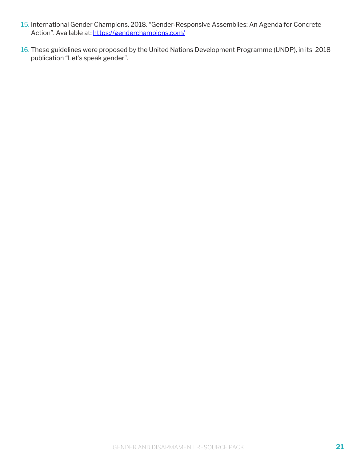- 15. International Gender Champions, 2018. "Gender-Responsive Assemblies: An Agenda for Concrete Action". Available at: <https://genderchampions.com/>
- 16. These guidelines were proposed by the United Nations Development Programme (UNDP), in its 2018 publication "Let's speak gender".